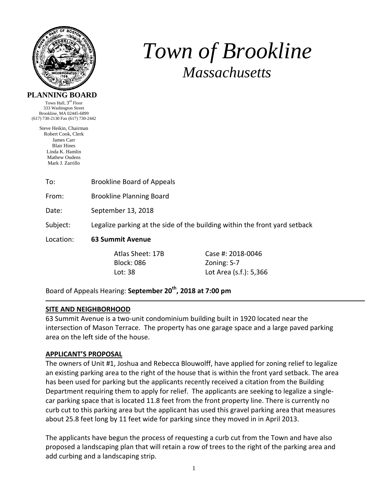

# *Town of Brookline Massachusetts*

#### **PLANNING BOARD**

Town Hall,  $3^{\text{rd}}$  Floor 333 Washington Street Brookline, MA 02445-6899 (617) 730-2130 Fax (617) 730-2442

> Steve Heikin, Chairman Robert Cook, Clerk James Carr Blair Hines Linda K. Hamlin Mathew Oudens Mark J. Zarrillo

| To: | <b>Brookline Board of Appeals</b> |
|-----|-----------------------------------|
|-----|-----------------------------------|

From: Brookline Planning Board

Date: September 13, 2018

Subject: Legalize parking at the side of the building within the front yard setback

Location: **63 Summit Avenue**

Block: 086 Zoning: S-7

 Atlas Sheet: 17B Case #: 2018‐0046 Lot: 38 Lot Area (s.f.): 5,366

Board of Appeals Hearing: **September 20th, 2018 at 7:00 pm**

## **SITE AND NEIGHBORHOOD**

63 Summit Avenue is a two‐unit condominium building built in 1920 located near the intersection of Mason Terrace. The property has one garage space and a large paved parking area on the left side of the house.

# **APPLICANT'S PROPOSAL**

The owners of Unit #1, Joshua and Rebecca Blouwolff, have applied for zoning relief to legalize an existing parking area to the right of the house that is within the front yard setback. The area has been used for parking but the applicants recently received a citation from the Building Department requiring them to apply for relief. The applicants are seeking to legalize a singlecar parking space that is located 11.8 feet from the front property line. There is currently no curb cut to this parking area but the applicant has used this gravel parking area that measures about 25.8 feet long by 11 feet wide for parking since they moved in in April 2013.

The applicants have begun the process of requesting a curb cut from the Town and have also proposed a landscaping plan that will retain a row of trees to the right of the parking area and add curbing and a landscaping strip.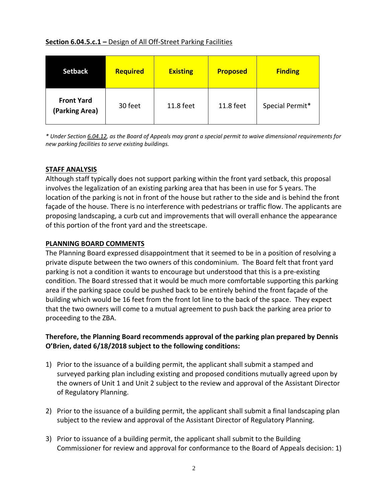## **Section 6.04.5.c.1 –** Design of All Off‐Street Parking Facilities

| <b>Setback</b>                      | Required | <b>Existing</b> | <b>Proposed</b> | <b>Finding</b>  |
|-------------------------------------|----------|-----------------|-----------------|-----------------|
| <b>Front Yard</b><br>(Parking Area) | 30 feet  | 11.8 feet       | 11.8 feet       | Special Permit* |

\* Under Section 6.04.12, as the Board of Appeals may grant a special permit to waive dimensional requirements for *new parking facilities to serve existing buildings.* 

# **STAFF ANALYSIS**

Although staff typically does not support parking within the front yard setback, this proposal involves the legalization of an existing parking area that has been in use for 5 years. The location of the parking is not in front of the house but rather to the side and is behind the front façade of the house. There is no interference with pedestrians or traffic flow. The applicants are proposing landscaping, a curb cut and improvements that will overall enhance the appearance of this portion of the front yard and the streetscape.

## **PLANNING BOARD COMMENTS**

The Planning Board expressed disappointment that it seemed to be in a position of resolving a private dispute between the two owners of this condominium. The Board felt that front yard parking is not a condition it wants to encourage but understood that this is a pre‐existing condition. The Board stressed that it would be much more comfortable supporting this parking area if the parking space could be pushed back to be entirely behind the front façade of the building which would be 16 feet from the front lot line to the back of the space. They expect that the two owners will come to a mutual agreement to push back the parking area prior to proceeding to the ZBA.

# **Therefore, the Planning Board recommends approval of the parking plan prepared by Dennis O'Brien, dated 6/18/2018 subject to the following conditions:**

- 1) Prior to the issuance of a building permit, the applicant shall submit a stamped and surveyed parking plan including existing and proposed conditions mutually agreed upon by the owners of Unit 1 and Unit 2 subject to the review and approval of the Assistant Director of Regulatory Planning.
- 2) Prior to the issuance of a building permit, the applicant shall submit a final landscaping plan subject to the review and approval of the Assistant Director of Regulatory Planning.
- 3) Prior to issuance of a building permit, the applicant shall submit to the Building Commissioner for review and approval for conformance to the Board of Appeals decision: 1)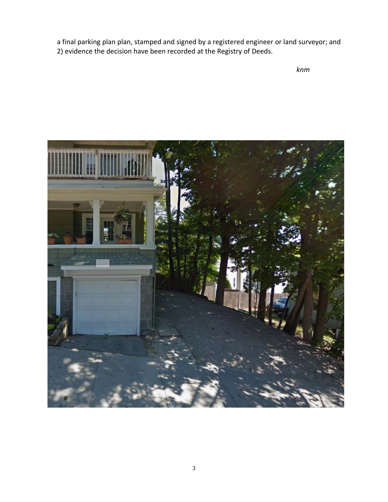a final parking plan plan, stamped and signed by a registered engineer or land surveyor; and 2) evidence the decision have been recorded at the Registry of Deeds.